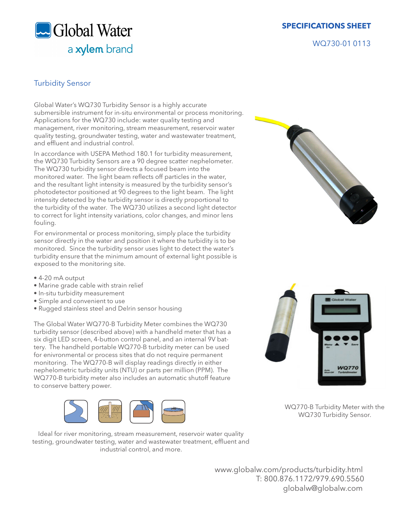Global Water a xylem brand  **SPECIFICATIONS SHEET**

WQ730-01 0113

## Turbidity Sensor

Global Water's WQ730 Turbidity Sensor is a highly accurate submersible instrument for in-situ environmental or process monitoring. Applications for the WQ730 include: water quality testing and management, river monitoring, stream measurement, reservoir water quality testing, groundwater testing, water and wastewater treatment, and effluent and industrial control.

In accordance with USEPA Method 180.1 for turbidity measurement, the WQ730 Turbidity Sensors are a 90 degree scatter nephelometer. The WQ730 turbidity sensor directs a focused beam into the monitored water. The light beam reflects off particles in the water, and the resultant light intensity is measured by the turbidity sensor's photodetector positioned at 90 degrees to the light beam. The light intensity detected by the turbidity sensor is directly proportional to the turbidity of the water. The WQ730 utilizes a second light detector to correct for light intensity variations, color changes, and minor lens fouling.

For environmental or process monitoring, simply place the turbidity sensor directly in the water and position it where the turbidity is to be monitored. Since the turbidity sensor uses light to detect the water's turbidity ensure that the minimum amount of external light possible is exposed to the monitoring site.

- 4-20 mA output
- Marine grade cable with strain relief
- In-situ turbidity measurement
- Simple and convenient to use
- Rugged stainless steel and Delrin sensor housing

The Global Water WQ770-B Turbidity Meter combines the WQ730 turbidity sensor (described above) with a handheld meter that has a six digit LED screen, 4-button control panel, and an internal 9V battery. The handheld portable WQ770-B turbidity meter can be used for enivronmental or process sites that do not require permanent monitoring. The WQ770-B will display readings directly in either nephelometric turbidity units (NTU) or parts per million (PPM). The WQ770-B turbidity meter also includes an automatic shutoff feature to conserve battery power.



Ideal for river monitoring, stream measurement, reservoir water quality testing, groundwater testing, water and wastewater treatment, effluent and industrial control, and more.





WQ770-B Turbidity Meter with the WQ730 Turbidity Sensor.

 www.globalw.com/products/turbidity.html T: 800.876.1172/979.690.5560 globalw@globalw.com